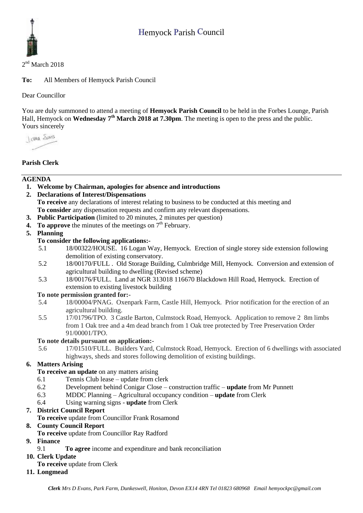# Hemyock Parish Council



#### 2<sup>nd</sup> March 2018

**To:** All Members of Hemyock Parish Council

Dear Councillor

You are duly summoned to attend a meeting of **Hemyock Parish Council** to be held in the Forbes Lounge, Parish Hall, Hemyock on **Wednesday** 7<sup>th</sup> March 2018 at 7.30pm. The meeting is open to the press and the public. Yours sincerely

I ama Shans

# **Parish Clerk**

## **AGENDA**

**1. Welcome by Chairman, apologies for absence and introductions**

**2. Declarations of Interest/Dispensations To receive** any declarations of interest relating to business to be conducted at this meeting and **To consider** any dispensation requests and confirm any relevant dispensations.

- **3. Public Participation** (limited to 20 minutes, 2 minutes per question)
- **4.** To approve the minutes of the meetings on  $7<sup>th</sup>$  February.
- **5. Planning**

## **To consider the following applications:-**

- 5.1 18/00322/HOUSE. 16 Logan Way, Hemyock. [Erection of single storey side extension following](https://planning.middevon.gov.uk/online-applications/applicationDetails.do?activeTab=summary&keyVal=P4TC55KS02T00&prevPage=inTray)  [demolition of existing conservatory.](https://planning.middevon.gov.uk/online-applications/applicationDetails.do?activeTab=summary&keyVal=P4TC55KS02T00&prevPage=inTray)
- 5.2 18/00170/FULL . Old Storage Building, Culmbridge Mill, Hemyock. [Conversion and extension of](https://planning.middevon.gov.uk/online-applications/applicationDetails.do?activeTab=summary&keyVal=P3ONPJKS05K00&prevPage=inTray)  [agricultural building to dwelling \(Revised scheme\)](https://planning.middevon.gov.uk/online-applications/applicationDetails.do?activeTab=summary&keyVal=P3ONPJKS05K00&prevPage=inTray)
- 5.3 18/00176/FULL. Land at NGR 313018 116670 Blackdown Hill Road, Hemyock. Erection of extension to existing livestock building

#### **To note permission granted for:-**

- 5.4 18/00004/PNAG. Oxenpark Farm, Castle Hill, Hemyock. Prior notification for the erection of an agricultural building.
- 5.5 17/01796/TPO. 3 Castle Barton, Culmstock Road, Hemyock. Application to remove 2 8m limbs from 1 Oak tree and a 4m dead branch from 1 Oak tree protected by Tree Preservation Order 91/00001/TPO.

#### **To note details pursuant on application:-**

5.6 17/01510/FULL. Builders Yard, Culmstock Road, Hemyock. Erection of 6 dwellings with associated highways, sheds and stores following demolition of existing buildings.

## **6. Matters Arising**

- **To receive an update** on any matters arising
- 6.1 Tennis Club lease update from clerk
- 6.2 Development behind Conigar Close construction traffic **update** from Mr Punnett
- 6.3 MDDC Planning Agricultural occupancy condition **update** from Clerk
- 6.4 Using warning signs **update** from Clerk

## **7. District Council Report**

**To receive** update from Councillor Frank Rosamond

#### **8. County Council Report**

**To receive** update from Councillor Ray Radford

## **9. Finance**

- 9.1 **To agree** income and expenditure and bank reconciliation
- **10. Clerk Update** 
	- **To receive** update from Clerk
- **11. Longmead**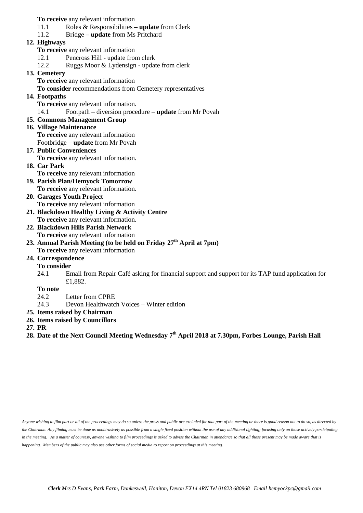**To receive** any relevant information

- 11.1 Roles & Responsibilities **– update** from Clerk
- 11.2 Bridge **– update** from Ms Pritchard

## **12. Highways**

- **To receive** any relevant information
- 12.1 Pencross Hill update from clerk
- 12.2 Ruggs Moor & Lydensign update from clerk

#### **13. Cemetery**

**To receive** any relevant information

**To consider** recommendations from Cemetery representatives

## **14. Footpaths**

**To receive** any relevant information.

14.1 Footpath – diversion procedure – **update** from Mr Povah

## **15. Commons Management Group**

#### **16. Village Maintenance**

**To receive** any relevant information

- Footbridge **update** from Mr Povah
- **17. Public Conveniences To receive** any relevant information.
- **18. Car Park**

**To receive** any relevant information

- **19. Parish Plan/Hemyock Tomorrow To receive** any relevant information.
- **20. Garages Youth Project To receive** any relevant information
- **21. Blackdown Healthy Living & Activity Centre To receive** any relevant information.
- **22. Blackdown Hills Parish Network To receive** any relevant information
- **23. Annual Parish Meeting (to be held on Friday 27th April at 7pm) To receive** any relevant information
- **24. Correspondence**

#### **To consider**

24.1 Email from Repair Café asking for financial support and support for its TAP fund application for £1,882.

#### **To note**

- 24.2 Letter from CPRE
- 24.3 Devon Healthwatch Voices Winter edition
- **25. Items raised by Chairman**
- **26. Items raised by Councillors**
- **27. PR**

**28. Date of the Next Council Meeting Wednesday 7 th April 2018 at 7.30pm, Forbes Lounge, Parish Hall**

*Anyone wishing to film part or all of the proceedings may do so unless the press and public are excluded for that part of the meeting or there is good reason not to do so, as directed by the Chairman. Any filming must be done as unobtrusively as possible from a single fixed position without the use of any additional lighting; focusing only on those actively participating in the meeting. As a matter of courtesy, anyone wishing to film proceedings is asked to advise the Chairman in attendance so that all those present may be made aware that is happening. Members of the public may also use other forms of social media to report on proceedings at this meeting.*